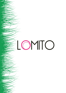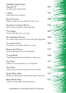## HOUSE COCKTAILS

Argentine 75 Gin, Hesperidina, Sparkling Wine

L'Amor Vodka, Passion Fruit, Strawberry

Brisa de Verano Raspberry Vodka, Cucumber, Apple & Cranberry Juice

Strawberry & Ginger Martini Sailor Jerry Rum, Strawberry, Ginger, Egg White

The Hakka Vanilla Vodka, Sake, Coconut & Lychee

Burnt Breakfast Martini Gin, Vanilla Vodka, Grapefruit & Orange Marmalade, Egg White

Cucumber Cooler Hendricks Gin, Lychee, Rose, Elderflower, Violets

Butterscotch Martini Vanilla Vodka, Butterscotch, Lemon, Egg White

Tequila Blush Tequila Reposado, Blueberries, Blackberries, Ginger, Lime

Pear Mule Vodka. Pear & Lemongrass Syrup, Lime, Ginger Beer

Mon Cheri Cazcabel, Creme de Cassis, Chambord, Cinnamon, Smoke

Sealed With A Kiss Spiced Rum, Pink Grapefruit, Apricot Brandy, Agave, Passionfruit

Beefy Bloody Mary Vodka, Horseradish, Beef Consommé, Seasoning

ALLERGEN LIST AVAILABLE FOR ALL COCKTAILS

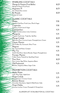| <b>SPARKLING COCKTAILS</b>                                        |       |
|-------------------------------------------------------------------|-------|
| Mango & Passion Fruit Bellini                                     | 10.25 |
| Mango & Passion Fruit Puree                                       |       |
| Argentine 75                                                      | 10.75 |
| Gin, Hesperidina, Lemon                                           |       |
| Kir Royale                                                        | 10.25 |
| Crème de Cassis                                                   |       |
| <b>CLASSIC COCKTAILS</b>                                          |       |
|                                                                   | 9.50  |
| $M$ ojito<br><u>Havana-Club Rum, Fresh Lime, Mint &amp; Sugar</u> |       |
| Caipirinha                                                        | 9.50  |
| Cachaca, Fresh Lime & Sugar                                       |       |
| Cosmopolitan                                                      | 9.75  |
| <del>Vodka, Cr</del> anberry Juice, Lime, Cointreau               |       |
| Margarita                                                         | 9.75  |
| Tequila, Fresh Lime, Triple Sec, Salt Rim                         |       |
| Mango Colada                                                      | 10.25 |
| Sàilor Jerry Rum, Coconut Liquer, Pineapple Juice, Cream          |       |
| Classic Martini                                                   | 9.75  |
| Gín/Vodka, Dry Vermouth, Olive/Twist<br>Negroni                   | 9.50  |
| Gin, Vermouth Rosso, Campari                                      |       |
| Mai Tai                                                           | 9.75  |
| Gold & Dark Rum, Apricot Brandy, Orgeat, Pineapple Juice          |       |
| Pornstar Martini                                                  | 9.50  |
| Vodka, Passoa, Passionfruit, Sparkling Chaser                     |       |
| Pisco Sour                                                        | 10.25 |
| Pisco, Lemon, Egg White, Angostura Bitters                        |       |
| Old Fashioned                                                     | 9.75  |
| Bourbon, Angostura Bitters, Sugar Cube                            |       |
|                                                                   |       |
| <b>PROHIBITION COCKTAILS</b>                                      |       |
| Apple Mojito                                                      | 5.75  |
| Lime, Mint, Sugar, Apple Juice                                    |       |
| Virgin Colada<br>Pineapple Juice, Coconut, Cream                  | 5.75  |
| Summer Breeze                                                     |       |
| Cucumber, Strawberry, Apple & Elderflower, Soda                   | 5.75  |
| $\mathcal W$ irgin Hakka                                          |       |
| Coconut, Lychee, Cream, Pineapple & Orange Juice                  | 5.75  |
|                                                                   |       |

## ALLERGEN LIST AVAILABLE FOR ALL COCKTAILS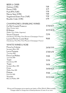| <b>BEER &amp; CIDER</b><br>Quilmes (4.9%)<br>Peroni (5.1%)<br>Punk IPA (5.6%)<br>Nanny State (0.5%)<br>Vagabond Gluten Free (5.6%)<br>Reveller Cider (4.5%)<br>CHAMPAGNE & SPARKLING WINES<br>Ca'Del Console Prosecco<br>Glera (Veneto, Italy)<br>El Relator<br>Malbec (Uco Valley, Argentina)<br>Veuve Clicquot<br>Chardonnay, Pinot Noir, Pinot Meunier (Champagne, France)<br>Laurent Perrier Cuvée Rosé | 5.00<br>4.75<br>5.50<br>5.00<br>5.50<br>6.50<br>37.50/8.75<br>43.75/10.50<br>72.50<br>90.00 |
|-------------------------------------------------------------------------------------------------------------------------------------------------------------------------------------------------------------------------------------------------------------------------------------------------------------------------------------------------------------------------------------------------------------|---------------------------------------------------------------------------------------------|
| Chardonnay, Pinot Noir, Pinot Meunier (Champagne, France)                                                                                                                                                                                                                                                                                                                                                   |                                                                                             |
| <b>WHITE WINES &amp; ROSE</b><br>Finca La Colonia                                                                                                                                                                                                                                                                                                                                                           | 24.50/5.95                                                                                  |
| Sauvignon Blanc 2021<br>Lorca Fantasia<br>Torrontes 2020                                                                                                                                                                                                                                                                                                                                                    | 27.00/6.50                                                                                  |
| Finca Las Nubes<br>Torrontes 2021                                                                                                                                                                                                                                                                                                                                                                           | 33.00                                                                                       |
| Tapiz<br>Chardonnay 2021                                                                                                                                                                                                                                                                                                                                                                                    | 33.50                                                                                       |
| Tapiz<br>Sauvignon Blanc 2021                                                                                                                                                                                                                                                                                                                                                                               | 34.50                                                                                       |
| Crios<br>Malbec Rose 2021                                                                                                                                                                                                                                                                                                                                                                                   | 34.5078.25                                                                                  |
| Pulenta<br>Pinot Gris 2021                                                                                                                                                                                                                                                                                                                                                                                  | 35.00                                                                                       |
| Vicentin<br>Blanc de Malbec 2019                                                                                                                                                                                                                                                                                                                                                                            | 39.75/9.25                                                                                  |

Wines and Champagne prices stated as per bottle or 175ml. 125ml & 250ml available. Vintages subject to change due to limited production of some of our wine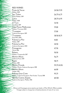RED WINES

| Punta de Vacas<br>Malbec 2020                            | 24.50/5.95  |
|----------------------------------------------------------|-------------|
| San Telmo                                                | 26.75/6.75  |
| Syrah/Malbec 2019                                        |             |
| _orca<br>Malbec 2020                                     | 28.75/6.95  |
| U Turn                                                   | 32.50       |
| Aneellotta 2019                                          |             |
| Vista Flores Malbrontes<br>Malbec/Torrontes 2020         | 35.00       |
| <b><i><u>Lrumpeter</u></i></b>                           | 37.00       |
| Cabernet Sauvignon 2019                                  |             |
| Trumpeter                                                | 38.50/8.75  |
| Pinot Noir 2020                                          |             |
| Pulenta La Flor<br>Malbec 2019                           | 41.00       |
| Pulenta La Flor                                          | 44.50       |
| Cabernet Sauvignon 2020                                  |             |
| Primogenito                                              | 47.50       |
| Merlot 2016                                              |             |
| Relator                                                  | 50.50       |
| Malbec/Tempranillo 2017                                  |             |
| Norton Altura                                            | 56.75       |
| Gabernet Franc 2017                                      |             |
| Rutini                                                   | 58.75       |
| Malbec 2018                                              |             |
| Norton Privada                                           | 59.75/14.50 |
| Malbec, Merlot, Cabernet Sauvignon 2018<br>Norton Altura |             |
| Malbec 2019                                              | 66.00       |
| <del>Púl</del> enta Gran Corte                           | 95.75       |
| Malbec, Cabernet Sauvignon, Petit Verdot, Tannat 2018    |             |
| Nieolas Catena Zapata                                    | 165.00      |
| Cabernet Sauvignon, Malbec 2016                          |             |

Wines and Champagne prices stated as per bottle or 175ml. 125ml & 250ml available. Vintages subject to change due to limited production of some of our wine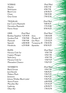VODKAS 25ml/50ml Absolut 4.50/7.50 Stolichnaya 4.50/7.50 Black Cow 6.50/10.75 Chase 7.00/12.00 Grey Goose 7.50/12.50

TEQUILAS 25ml/50ml Jose Cuervo Reposado 5.00/8.25 Herradura Reposado 7.75/13.00 Patron Anejo 8.50/14.25

Bombay Sapphire 5.25/8.50 Jinzu 7.00/12.00 Gordons Pink 5.50/9.00 Monkey 47 7.25/12.25 Plymouth 5.50/9.00 Gin Mare 7.25/12.25 Sipsmith 6.00/10.00 Tanqueray 10 7.50/12.50 Hendricks 6.25/10.00 Apostoles 8.50/14.25

GINS 25ml/50ml 25ml/50ml

## RUMS 25ml/50ml Havana Club 3yr 4.50/7.50 Captain Morgan 4.50/7.50 Sailor Jerry 4.50/7.50 Havana Club 7yr 5.50/9.25 Matusalem Classico 5.50/9.25

WHISKEYS 25ml/50ml Black Grouse 4.50/7.50 Jack Daniels 5.00/8.25 Makers Mark 5.50/9.25  $\lambda$  Jamesons 5.50/9.25 Johnny Walker Black Label 5.50/9.25 Amrut Fusion 6.00/10.00 Macallan 10yr 7.25/12.25 Laphroig 6.50/10.75 Oban 14yr 7.50/12.50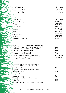| <b>COGNACS</b>   | 25ml/50ml   |
|------------------|-------------|
| Courvoisier VSOP | 7.00/12.00  |
| Hennessy XO      | 14.50/26.00 |
|                  |             |
|                  |             |
| <b>LIQUERS</b>   | 25ml/50ml   |
| Grand Marnier    | 4.25/7.00   |
| Cointreau        | 3.75/6.50   |
| Tia Maria        | 3.75/6.50   |
| Kahlua           | 3.75/6.50   |
| Disaronno        | 3.75/6.50   |
| lagermeister     | 3.75/6.50   |
| <b>Baileys</b>   | 3.75/6.50   |
| Southern Comfort | 4.25/7.00   |
|                  |             |

| $\Box$ PORTS & AFTER DINNER DRINKS       |            |
|------------------------------------------|------------|
| Malamado (50ml Port Style Malbec)        | 5.00       |
| $\neg$ Taylor's LBV Port (50ml)          | 5.75       |
| Taylor's 20 YO $(50ml)$                  | 9 9 5      |
| $\sim$ Tardio Dessert Wine (50ml/Bottle) | 6.00/50.00 |
| $\measuredangle$ Aniapa Malbec Grappa    | 5.50/10.00 |
|                                          |            |

| AFTER DINNER COCKTAILS                             |      |
|----------------------------------------------------|------|
| Grasshopper                                        | 8.25 |
| Crème de Cacao, Crème de Menthe, Cream             |      |
| White Russian                                      | 8.25 |
| Vodka. Kahlua, Cream                               |      |
| Espresso Martini                                   | 8.25 |
| Vodka, Crème de Cacao, Kahlua, Espresso            |      |
| <del>Aara</del> thon                               | 8.25 |
| Kahlua, Baileys, Frangelico, Crème de Cacao, Cream |      |

ALLERGEN LIST AVAILABLE FOR ALL COCKTAILS